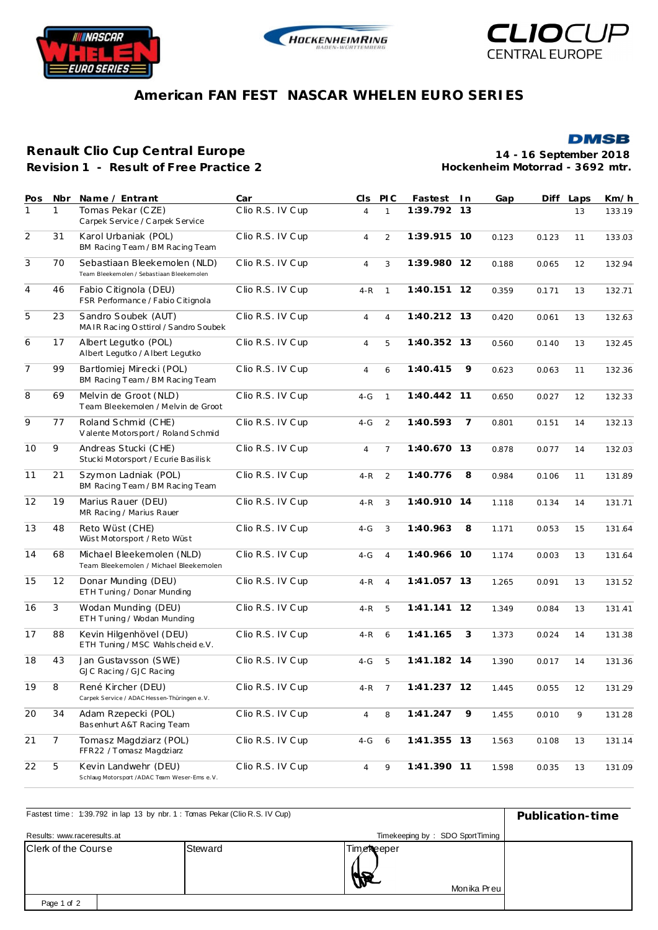





**DMSB** 

## **American FAN FEST NASCAR WHELEN EURO SERIES**

## **Renault Clio Cup Central Europe**

**Revision 1 - Result of Free Practice 2**

**14 - 16 September 2018 Hockenheim Motorrad - 3692 mtr.**

| Pos            | Nbr            | Name / Entrant                                                            | Car              | CI <sub>S</sub> | <b>PIC</b>     | Fastest     | l n            | Gap   | Diff  | Laps | Km/h   |
|----------------|----------------|---------------------------------------------------------------------------|------------------|-----------------|----------------|-------------|----------------|-------|-------|------|--------|
| 1              | 1              | Tomas Pekar (CZE)<br>Carpek Service / Carpek Service                      | Clio R.S. IV Cup | $\overline{4}$  | $\mathbf{1}$   | 1:39.792    | 13             |       |       | 13   | 133.19 |
| $\overline{2}$ | 31             | Karol Urbaniak (POL)<br>BM Racing Team / BM Racing Team                   | Clio R.S. IV Cup | 4               | 2              | 1:39.915    | 10             | 0.123 | 0.123 | 11   | 133.03 |
| 3              | 70             | Sebastiaan Bleekemolen (NLD)<br>Team Bleekemolen / Sebastiaan Bleekemolen | Clio R.S. IV Cup | $\overline{4}$  | 3              | 1:39.980 12 |                | 0.188 | 0.065 | 12   | 132.94 |
| $\overline{4}$ | 46             | Fabio Citignola (DEU)<br>FSR Performance / Fabio Citignola                | Clio R.S. IV Cup | $4-R$           | $\mathbf{1}$   | 1:40.151 12 |                | 0.359 | 0.171 | 13   | 132.71 |
| 5              | 23             | Sandro Soubek (AUT)<br>MAIR Racing Osttirol / Sandro Soubek               | Clio R.S. IV Cup | 4               | $\overline{4}$ | 1:40.212 13 |                | 0.420 | 0.061 | 13   | 132.63 |
| 6              | 17             | Albert Legutko (POL)<br>Albert Legutko / Albert Legutko                   | Clio R.S. IV Cup | 4               | 5              | 1:40.352 13 |                | 0.560 | 0.140 | 13   | 132.45 |
| $\overline{7}$ | 99             | Bartlomiej Mirecki (POL)<br>BM Racing Team / BM Racing Team               | Clio R.S. IV Cup | 4               | 6              | 1:40.415    | 9              | 0.623 | 0.063 | 11   | 132.36 |
| 8              | 69             | Melvin de Groot (NLD)<br>Team Bleekemolen / Melvin de Groot               | Clio R.S. IV Cup | $4-G$           | $\mathbf{1}$   | 1:40.442 11 |                | 0.650 | 0.027 | 12   | 132.33 |
| 9              | 77             | Roland Schmid (CHE)<br>Valente Motorsport / Roland Schmid                 | Clio R.S. IV Cup | $4-G$           | 2              | 1:40.593    | $\overline{7}$ | 0.801 | 0.151 | 14   | 132.13 |
| 10             | 9              | Andreas Stucki (CHE)<br>Stucki Motorsport / Ecurie Basilisk               | Clio R.S. IV Cup | $\overline{4}$  | $\overline{7}$ | 1:40.670 13 |                | 0.878 | 0.077 | 14   | 132.03 |
| 11             | 21             | Szymon Ladniak (POL)<br>BM Racing Team / BM Racing Team                   | Clio R.S. IV Cup | $4 - R$         | 2              | 1:40.776    | 8              | 0.984 | 0.106 | 11   | 131.89 |
| 12             | 19             | Marius Rauer (DEU)<br>MR Racing / Marius Rauer                            | Clio R.S. IV Cup | $4-R$           | 3              | 1:40.910 14 |                | 1.118 | 0.134 | 14   | 131.71 |
| 13             | 48             | Reto Wüst (CHE)<br>Wüst Motorsport / Reto Wüst                            | Clio R.S. IV Cup | $4-G$           | 3              | 1:40.963    | 8              | 1.171 | 0.053 | 15   | 131.64 |
| 14             | 68             | Michael Bleekemolen (NLD)<br>Team Bleekemolen / Michael Bleekemolen       | Clio R.S. IV Cup | $4-G$           | $\overline{4}$ | 1:40.966 10 |                | 1.174 | 0.003 | 13   | 131.64 |
| 15             | 12             | Donar Munding (DEU)<br>ETH Tuning / Donar Munding                         | Clio R.S. IV Cup | 4-R             | $\overline{4}$ | 1:41.057 13 |                | 1.265 | 0.091 | 13   | 131.52 |
| 16             | 3              | Wodan Munding (DEU)<br>ETH Tuning / Wodan Munding                         | Clio R.S. IV Cup | 4-R             | 5              | 1:41.141 12 |                | 1.349 | 0.084 | 13   | 131.41 |
| 17             | 88             | Kevin Hilgenhövel (DEU)<br>ETH Tuning / MSC Wahlscheide.V.                | Clio R.S. IV Cup | 4-R             | 6              | 1:41.165    | 3              | 1.373 | 0.024 | 14   | 131.38 |
| 18             | 43             | Jan Gustavsson (SWE)<br>GJC Racing / GJC Racing                           | Clio R.S. IV Cup | $4-G$           | 5              | 1:41.182 14 |                | 1.390 | 0.017 | 14   | 131.36 |
| 19             | 8              | René Kircher (DEU)<br>Carpek Service / ADAC Hessen-Thüringen e.V.         | Clio R.S. IV Cup | $4-R$ 7         |                | 1:41.237 12 |                | 1.445 | 0.055 | 12   | 131.29 |
| 20             | 34             | Adam Rzepecki (POL)<br>Basenhurt A&T Racing Team                          | Clio R.S. IV Cup | $\overline{4}$  | 8              | 1:41.247    | 9              | 1.455 | 0.010 | 9    | 131.28 |
| 21             | $\overline{7}$ | Tomasz Magdziarz (POL)<br>FFR22 / Tomasz Magdziarz                        | Clio R.S. IV Cup | $4-G$           | 6              | 1:41.355 13 |                | 1.563 | 0.108 | 13   | 131.14 |
| 22             | 5              | Kevin Landwehr (DEU)<br>Schlaug Motorsport /ADAC Team Weser-Ems e.V.      | Clio R.S. IV Cup | 4               | 9              | 1:41.390 11 |                | 1.598 | 0.035 | 13   | 131.09 |

| Fastest time: 1:39.792 in lap 13 by nbr. 1 : Tomas Pekar (Clio R.S. IV Cup) | Publication-time                |                            |  |  |  |
|-----------------------------------------------------------------------------|---------------------------------|----------------------------|--|--|--|
| Results: www.raceresults.at                                                 | Timekeeping by: SDO SportTiming |                            |  |  |  |
| <b>IClerk of the Course</b>                                                 | Steward                         | Time Reeper<br>Monika Preu |  |  |  |
| Page 1 of 2                                                                 |                                 |                            |  |  |  |